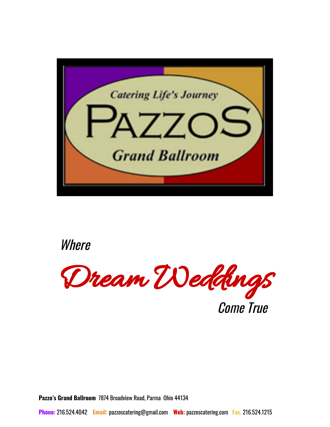



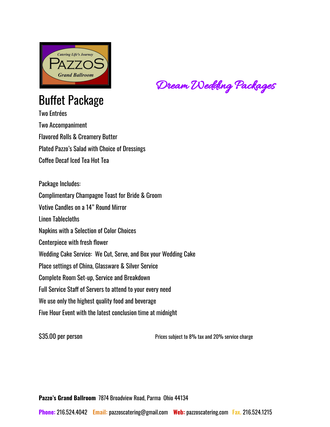

# Buffet Package Two Entrées

Two Accompaniment Flavored Rolls & Creamery Butter Plated Pazzo's Salad with Choice of Dressings Coffee Decaf Iced Tea Hot Tea

Package Includes: Complimentary Champagne Toast for Bride & Groom Votive Candles on a 14" Round Mirror Linen Tablecloths Napkins with a Selection of Color Choices Centerpiece with fresh flower Wedding Cake Service: We Cut, Serve, and Box your Wedding Cake Place settings of China, Glassware & Silver Service Complete Room Set-up, Service and Breakdown Full Service Staff of Servers to attend to your every need We use only the highest quality food and beverage Five Hour Event with the latest conclusion time at midnight

\$35.00 per person extended the Prices subject to 8% tax and 20% service charge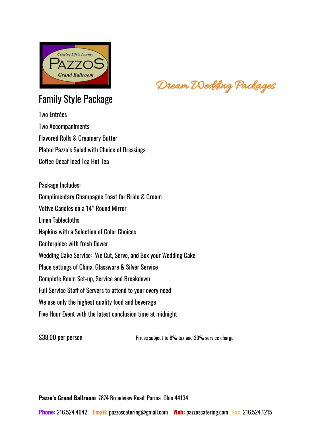

# Family Style Package

Two Entrées Two Accompaniments Flavored Rolls & Creamery Butter Plated Pazzo's Salad with Choice of Dressings Coffee Decaf Iced Tea Hot Tea

Package Includes: Complimentary Champagne Toast for Bride & Groom Votive Candles on a 14" Round Mirror Linen Tablecloths Napkins with a Selection of Color Choices Centerpiece with fresh flower Wedding Cake Service: We Cut, Serve, and Box your Wedding Cake Place settings of China, Glassware & Silver Service Complete Room Set-up, Service and Breakdown Full Service Staff of Servers to attend to your every need We use only the highest quality food and beverage Five Hour Event with the latest conclusion time at midnight

\$38.00 per person example and prices subject to 8% tax and 20% service charge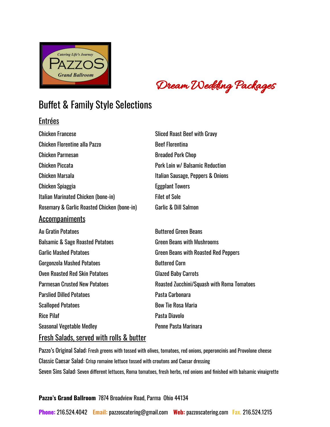

# Buffet & Family Style Selections

### Entrées

| <b>Sliced Roast Beef with Gravy</b>         |
|---------------------------------------------|
| <b>Beef Florentina</b>                      |
| <b>Breaded Pork Chop</b>                    |
| Pork Loin w/ Balsamic Reduction             |
| Italian Sausage, Peppers & Onions           |
| <b>Eggplant Towers</b>                      |
| <b>Filet of Sole</b>                        |
| <b>Garlic &amp; Dill Salmon</b>             |
|                                             |
| <b>Buttered Green Beans</b>                 |
| <b>Green Beans with Mushrooms</b>           |
| <b>Green Beans with Roasted Red Peppers</b> |
| <b>Buttered Corn</b>                        |
|                                             |

Oven Roasted Red Skin Potatoes Glazed Baby Carrots Parmesan Crusted New Potatoes **Roasted Zucchini/Squash with Roma Tomatoes** Parslied Dilled Potatoes **Pasta Carbonara** Scalloped Potatoes **Bow Tie Rosa Maria** Rice Pilaf Pasta Diavolo Seasonal Vegetable Medley **Penne Pasta Marinara** 

### Fresh Salads, served with rolls & butter

Pazzo's Original Salad: Fresh greens with tossed with olives, tomatoes, red onions, peperoncinis and Provolone cheese Classic Caesar Salad: Crisp romaine lettuce tossed with croutons and Caesar dressing Seven Sins Salad: Seven different lettuces, Roma tomatoes, fresh herbs, red onions and finished with balsamic vinaigrette

### **Pazzo's Grand Ballroom** 7874 Broadview Road, Parma Ohio 44134

**Phone:** 216.524.4042 **Email:** [pazzoscatering@gmail.com](mailto:pazzoscatering@gmail.com) **Web:** pazzoscatering.com **Fax.** 216.524.1215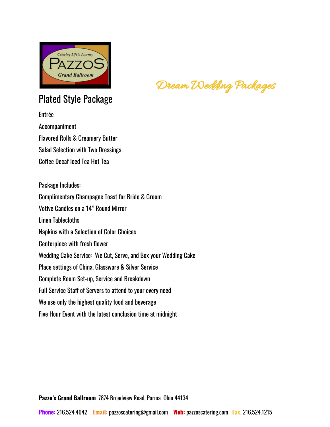

# Plated Style Package

Entrée Accompaniment Flavored Rolls & Creamery Butter Salad Selection with Two Dressings Coffee Decaf Iced Tea Hot Tea

Package Includes: Complimentary Champagne Toast for Bride & Groom Votive Candles on a 14" Round Mirror Linen Tablecloths Napkins with a Selection of Color Choices Centerpiece with fresh flower Wedding Cake Service: We Cut, Serve, and Box your Wedding Cake Place settings of China, Glassware & Silver Service Complete Room Set-up, Service and Breakdown Full Service Staff of Servers to attend to your every need We use only the highest quality food and beverage Five Hour Event with the latest conclusion time at midnight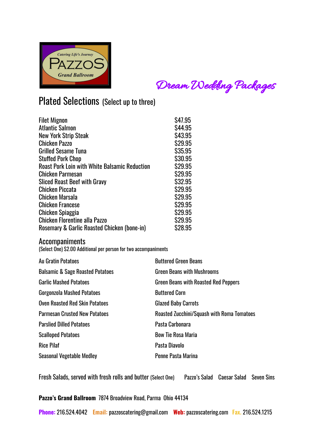

# Plated Selections (Select up to three)

| <b>Filet Mignon</b>                                  | \$47.95 |
|------------------------------------------------------|---------|
| <b>Atlantic Salmon</b>                               | S44.95  |
| <b>New York Strip Steak</b>                          | S43.95  |
| <b>Chicken Pazzo</b>                                 | \$29.95 |
| <b>Grilled Sesame Tuna</b>                           | \$35.95 |
| <b>Stuffed Pork Chop</b>                             | \$30.95 |
| <b>Roast Pork Loin with White Balsamic Reduction</b> | \$29.95 |
| <b>Chicken Parmesan</b>                              | S29.95  |
| <b>Sliced Roast Beef with Gravy</b>                  | \$32.95 |
| <b>Chicken Piccata</b>                               | S29.95  |
| Chicken Marsala                                      | \$29.95 |
| <b>Chicken Francese</b>                              | S29.95  |
| <b>Chicken Spiaggia</b>                              | S29.95  |
| <b>Chicken Florentine alla Pazzo</b>                 | S29.95  |
| Rosemary & Garlic Roasted Chicken (bone-in)          | \$28.95 |

### Accompaniments

(Select One) \$2.00 Additional per person for two accompaniments

| Au Gratin Potatoes                          | <b>Buttered Green Beans</b>                       |
|---------------------------------------------|---------------------------------------------------|
| <b>Balsamic &amp; Sage Roasted Potatoes</b> | <b>Green Beans with Mushrooms</b>                 |
| <b>Garlic Mashed Potatoes</b>               | <b>Green Beans with Roasted Red Peppers</b>       |
| <b>Gorgonzola Mashed Potatoes</b>           | <b>Buttered Corn</b>                              |
| <b>Oven Roasted Red Skin Potatoes</b>       | <b>Glazed Baby Carrots</b>                        |
| <b>Parmesan Crusted New Potatoes</b>        | <b>Roasted Zucchini/Squash with Roma Tomatoes</b> |
| <b>Parslied Dilled Potatoes</b>             | Pasta Carbonara                                   |
| <b>Scalloped Potatoes</b>                   | <b>Bow Tie Rosa Maria</b>                         |
| <b>Rice Pilaf</b>                           | Pasta Diavolo                                     |
| <b>Seasonal Vegetable Medley</b>            | Penne Pasta Marina                                |

Fresh Salads, served with fresh rolls and butter (Select One) Pazzo's Salad Caesar Salad Seven Sins

### **Pazzo's Grand Ballroom** 7874 Broadview Road, Parma Ohio 44134

**Phone:** 216.524.4042 **Email:** [pazzoscatering@gmail.com](mailto:pazzoscatering@gmail.com) **Web:** pazzoscatering.com **Fax.** 216.524.1215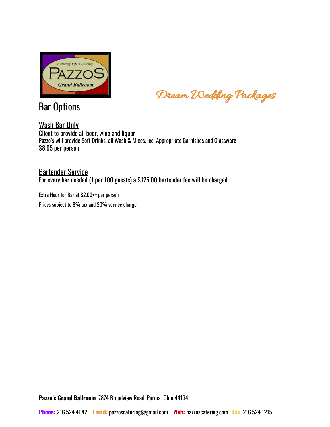

Bar Options

Dream Wedding Packages

Wash Bar Only Client to provide all beer, wine and liquor Pazzo's will provide Soft Drinks, all Wash & Mixes, Ice, Appropriate Garnishes and Glassware \$8.95 per person

Bartender Service For every bar needed (1 per 100 guests) a \$125.00 bartender fee will be charged

Extra Hour for Bar at \$2.00++ per person Prices subject to 8% tax and 20% service charge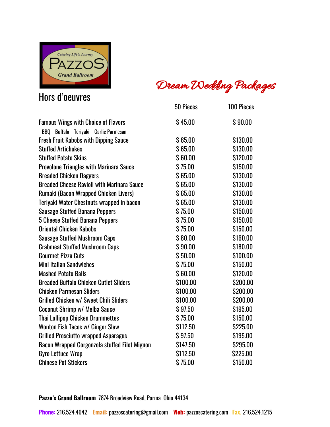

# Hors d'oeuvres

Dream Wedding Packages

|                                                   | 50 Pieces | <b>100 Pieces</b> |
|---------------------------------------------------|-----------|-------------------|
| <b>Famous Wings with Choice of Flavors</b>        | \$45.00   | \$90.00           |
| BBQ Buffalo Teriyaki Garlic Parmesan              |           |                   |
| <b>Fresh Fruit Kabobs with Dipping Sauce</b>      | \$65.00   | \$130.00          |
| <b>Stuffed Artichokes</b>                         | \$65.00   | \$130.00          |
| <b>Stuffed Potato Skins</b>                       | \$60.00   | \$120.00          |
| <b>Provolone Triangles with Marinara Sauce</b>    | \$75.00   | \$150.00          |
| <b>Breaded Chicken Daggers</b>                    | \$65.00   | \$130.00          |
| <b>Breaded Cheese Ravioli with Marinara Sauce</b> | \$65.00   | \$130.00          |
| Rumaki (Bacon Wrapped Chicken Livers)             | \$65.00   | \$130.00          |
| Teriyaki Water Chestnuts wrapped in bacon         | \$65.00   | \$130.00          |
| <b>Sausage Stuffed Banana Peppers</b>             | \$75.00   | \$150.00          |
| 5 Cheese Stuffed Banana Peppers                   | \$75.00   | \$150.00          |
| <b>Oriental Chicken Kabobs</b>                    | \$75.00   | \$150.00          |
| <b>Sausage Stuffed Mushroom Caps</b>              | \$80.00   | \$160.00          |
| <b>Crabmeat Stuffed Mushroom Caps</b>             | \$90.00   | \$180.00          |
| <b>Gourmet Pizza Cuts</b>                         | \$50.00   | \$100.00          |
| <b>Mini Italian Sandwiches</b>                    | \$75.00   | \$150.00          |
| <b>Mashed Potato Balls</b>                        | \$60.00   | \$120.00          |
| <b>Breaded Buffalo Chicken Cutlet Sliders</b>     | \$100.00  | \$200.00          |
| <b>Chicken Parmesan Sliders</b>                   | \$100.00  | \$200.00          |
| <b>Grilled Chicken w/ Sweet Chili Sliders</b>     | \$100.00  | \$200.00          |
| Coconut Shrimp w/ Melba Sauce                     | \$97.50   | \$195.00          |
| <b>Thai Lollipop Chicken Drummettes</b>           | \$75.00   | \$150.00          |
| Wonton Fish Tacos w/ Ginger Slaw                  | \$112.50  | \$225.00          |
| <b>Grilled Prosciutto wrapped Asparagus</b>       | \$97.50   | \$195.00          |
| Bacon Wrapped Gorgonzola stuffed Filet Mignon     | \$147.50  | \$295.00          |
| <b>Gyro Lettuce Wrap</b>                          | \$112.50  | \$225.00          |
| <b>Chinese Pot Stickers</b>                       | \$75.00   | \$150.00          |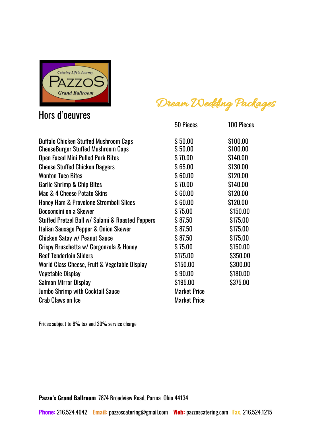

# Hors d'oeuvres

Dream Wedding Packages

|                                                                                           | 50 Pieces           | <b>100 Pieces</b>    |
|-------------------------------------------------------------------------------------------|---------------------|----------------------|
| <b>Buffalo Chicken Stuffed Mushroom Caps</b><br><b>CheeseBurger Stuffed Mushroom Caps</b> | \$50.00<br>\$50.00  | \$100.00<br>\$100.00 |
| <b>Open Faced Mini Pulled Pork Bites</b>                                                  | \$70.00             | \$140.00             |
| <b>Cheese Stuffed Chicken Daggers</b>                                                     | \$65.00             | \$130.00             |
| <b>Wonton Taco Bites</b>                                                                  | \$60.00             | \$120.00             |
| <b>Garlic Shrimp &amp; Chip Bites</b>                                                     | \$70.00             | \$140.00             |
| Mac & 4 Cheese Potato Skins                                                               | \$60.00             | \$120.00             |
| <b>Honey Ham &amp; Provolone Stromboli Slices</b>                                         | \$60.00             | \$120.00             |
| Bocconcini on a Skewer                                                                    | \$75.00             | \$150.00             |
| Stuffed Pretzel Ball w/ Salami & Roasted Peppers                                          | \$87.50             | \$175.00             |
| Italian Sausage Pepper & Onion Skewer                                                     | \$87.50             | \$175.00             |
| Chicken Satay w/ Peanut Sauce                                                             | \$87.50             | \$175.00             |
| Crispy Bruschetta w/ Gorgonzola & Honey                                                   | \$75.00             | \$150.00             |
| <b>Beef Tenderloin Sliders</b>                                                            | \$175.00            | \$350.00             |
| World Class Cheese, Fruit & Vegetable Display                                             | \$150.00            | \$300.00             |
| <b>Vegetable Display</b>                                                                  | \$90.00             | \$180.00             |
| <b>Salmon Mirror Display</b>                                                              | \$195.00            | \$375.00             |
| <b>Jumbo Shrimp with Cocktail Sauce</b>                                                   | <b>Market Price</b> |                      |
| <b>Crab Claws on Ice</b>                                                                  | <b>Market Price</b> |                      |

Prices subject to 8% tax and 20% service charge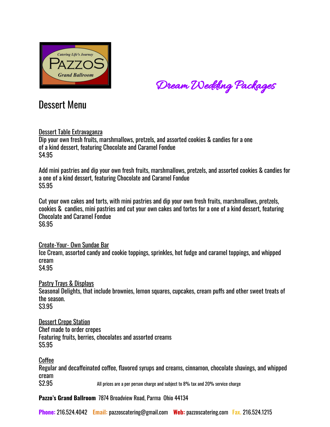

Dream Wedding Packages

## Dessert Menu

### Dessert Table Extravaganza

Dip your own fresh fruits, marshmallows, pretzels, and assorted cookies & candies for a one of a kind dessert, featuring Chocolate and Caramel Fondue \$4.95

Add mini pastries and dip your own fresh fruits, marshmallows, pretzels, and assorted cookies & candies for a one of a kind dessert, featuring Chocolate and Caramel Fondue \$5.95

Cut your own cakes and torts, with mini pastries and dip your own fresh fruits, marshmallows, pretzels, cookies & candies, mini pastries and cut your own cakes and tortes for a one of a kind dessert, featuring Chocolate and Caramel Fondue \$6.95

Create-Your- Own Sundae Bar Ice Cream, assorted candy and cookie toppings, sprinkles, hot fudge and caramel toppings, and whipped cream \$4.95

Pastry Trays & Displays

Seasonal Delights, that include brownies, lemon squares, cupcakes, cream puffs and other sweet treats of the season.

\$3.95

Dessert Crepe Station Chef made to order crepes Featuring fruits, berries, chocolates and assorted creams \$5.95

Coffee

Regular and decaffeinated coffee, flavored syrups and creams, cinnamon, chocolate shavings, and whipped cream<br>\$2.95

All prices are a per person charge and subject to 8% tax and 20% service charge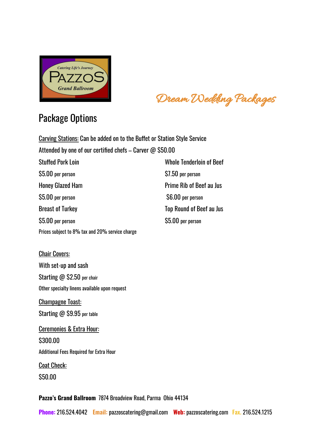

Dream Wedding Packages

# Package Options

Carving Stations: Can be added on to the Buffet or Station Style Service Attended by one of our certified chefs – Carver @ \$50.00

| <b>Stuffed Pork Loin</b>                        | <b>Whole Tenderloin of Beef</b> |
|-------------------------------------------------|---------------------------------|
| \$5.00 per person                               | \$7.50 per person               |
| <b>Honey Glazed Ham</b>                         | <b>Prime Rib of Beef au Jus</b> |
| \$5.00 per person                               | \$6.00 per person               |
| <b>Breast of Turkey</b>                         | <b>Top Round of Beef au Jus</b> |
| \$5.00 per person                               | \$5.00 per person               |
| Prices subject to 8% tax and 20% service charge |                                 |

Chair Covers: With set-up and sash Starting @ \$2.50 per chair Other specialty linens available upon request

Champagne Toast: Starting @ \$9.95 per table

Ceremonies & Extra Hour: \$300.00 Additional Fees Required for Extra Hour **Coat Check:** \$50.00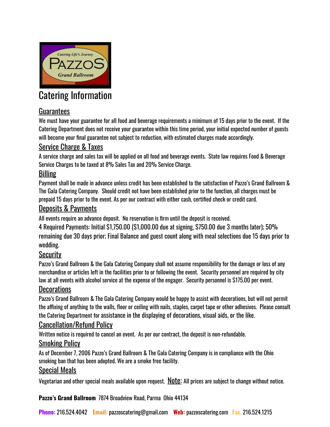

# Catering Information

## Guarantees

We must have your guarantee for all food and beverage requirements a minimum of 15 days prior to the event. If the Catering Department does not receive your guarantee within this time period, your initial expected number of guests will become your final guarantee not subject to reduction, with estimated charges made accordingly.

## Service Charge & Taxes

A service charge and sales tax will be applied on all food and beverage events. State law requires Food & Beverage Service Charges to be taxed at 8% Sales Tax and 20% Service Charge.

## **Billing**

Payment shall be made in advance unless credit has been established to the satisfaction of Pazzo's Grand Ballroom & The Gala Catering Company. Should credit not have been established prior to the function, all charges must be prepaid 15 days prior to the event. As per our contract with either cash, certified check or credit card.

## Deposits & Payments

All events require an advance deposit. No reservation is firm until the deposit is received.

4 Required Payments: Initial \$1,750.00 (\$1,000.00 due at signing, \$750.00 due 3 months later); 50% remaining due 30 days prior; Final Balance and guest count along with meal selections due 15 days prior to wedding.

## **Security**

Pazzo's Grand Ballroom & the Gala Catering Company shall not assume responsibility for the damage or loss of any merchandise or articles left in the facilities prior to or following the event. Security personnel are required by city law at all events with alcohol service at the expense of the engager. Security personnel is \$175.00 per event.

## **Decorations**

Pazzo's Grand Ballroom & The Gala Catering Company would be happy to assist with decorations, but will not permit the affixing of anything to the walls, floor or ceiling with nails, staples, carpet tape or other adhesives. Please consult the Catering Department for assistance in the displaying of decorations, visual aids, or the like.

## Cancellation/Refund Policy

Written notice is required to cancel an event. As per our contract, the deposit is non-refundable.

## **Smoking Policy**

As of December 7, 2006 Pazzo's Grand Ballroom & The Gala Catering Company is in compliance with the Ohio smoking ban that has been adopted. We are a smoke free facility.

### Special Meals

Vegetarian and other special meals available upon request.  **All prices are subject to change without notice.** 

**Pazzo's Grand Ballroom** 7874 Broadview Road, Parma Ohio 44134

**Phone:** 216.524.4042 **Email:** [pazzoscatering@gmail.com](mailto:pazzoscatering@gmail.com) **Web:** pazzoscatering.com **Fax.** 216.524.1215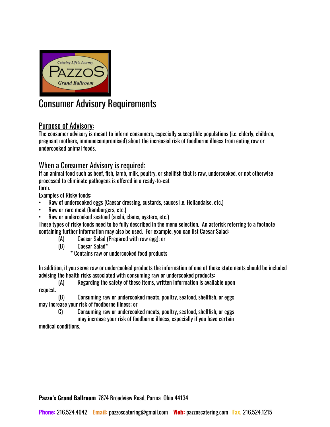

# Consumer Advisory Requirements

## Purpose of Advisory:

The consumer advisory is meant to inform consumers, especially susceptible populations (i.e. elderly, children, pregnant mothers, immunocompromised) about the increased risk of foodborne illness from eating raw or undercooked animal foods.

### When a Consumer Advisory is required:

If an animal food such as beef, fish, lamb, milk, poultry, or shellfish that is raw, undercooked, or not otherwise processed to eliminate pathogens is offered in a ready-to-eat form.

Examples of Risky foods:

- Raw of undercooked eggs (Caesar dressing, custards, sauces i.e. Hollandaise, etc.)
- Raw or rare meat (hamburgers, etc.)
- Raw or undercooked seafood (sushi, clams, oysters, etc.)

These types of risky foods need to be fully described in the menu selection. An asterisk referring to a footnote containing further information may also be used. For example, you can list Caesar Salad:

- (A) Caesar Salad (Prepared with raw egg); or
- (B) Caesar Salad\*
	- \* Contains raw or undercooked food products

In addition, if you serve raw or undercooked products the information of one of these statements should be included advising the health risks associated with consuming raw or undercooked products:

(A) Regarding the safety of these items, written information is available upon request.

(B) Consuming raw or undercooked meats, poultry, seafood, shellfish, or eggs may increase your risk of foodborne illness; or

C) Consuming raw or undercooked meats, poultry, seafood, shellfish, or eggs

may increase your risk of foodborne illness, especially if you have certain medical conditions.